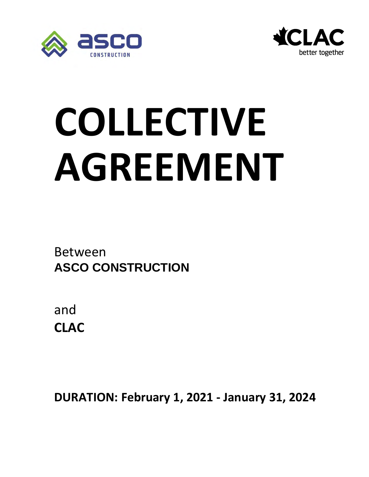



# **COLLECTIVE AGREEMENT**

Between **ASCO CONSTRUCTION**

and **CLAC** 

**DURATION: February 1, 2021 - January 31, 2024**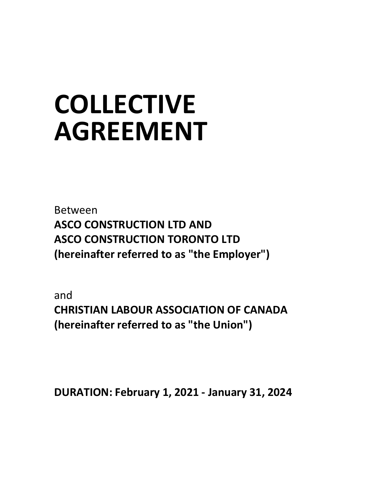## **COLLECTIVE AGREEMENT**

Between **ASCO CONSTRUCTION LTD AND ASCO CONSTRUCTION TORONTO LTD (hereinafter referred to as "the Employer")**

and **CHRISTIAN LABOUR ASSOCIATION OF CANADA (hereinafter referred to as "the Union")**

**DURATION: February 1, 2021 - January 31, 2024**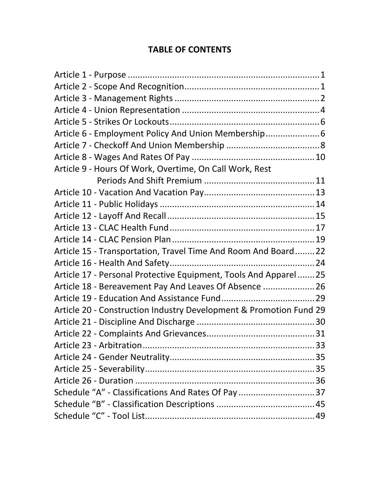#### **TABLE OF CONTENTS**

| Article 6 - Employment Policy And Union Membership 6<br>Article 9 - Hours Of Work, Overtime, On Call Work, Rest<br>Article 15 - Transportation, Travel Time And Room And Board 22<br>Article 17 - Personal Protective Equipment, Tools And Apparel 25<br>Article 18 - Bereavement Pay And Leaves Of Absence  26<br>Article 20 - Construction Industry Development & Promotion Fund 29<br>Schedule "A" - Classifications And Rates Of Pay  37 |  |
|----------------------------------------------------------------------------------------------------------------------------------------------------------------------------------------------------------------------------------------------------------------------------------------------------------------------------------------------------------------------------------------------------------------------------------------------|--|
|                                                                                                                                                                                                                                                                                                                                                                                                                                              |  |
|                                                                                                                                                                                                                                                                                                                                                                                                                                              |  |
|                                                                                                                                                                                                                                                                                                                                                                                                                                              |  |
|                                                                                                                                                                                                                                                                                                                                                                                                                                              |  |
|                                                                                                                                                                                                                                                                                                                                                                                                                                              |  |
|                                                                                                                                                                                                                                                                                                                                                                                                                                              |  |
|                                                                                                                                                                                                                                                                                                                                                                                                                                              |  |
|                                                                                                                                                                                                                                                                                                                                                                                                                                              |  |
|                                                                                                                                                                                                                                                                                                                                                                                                                                              |  |
|                                                                                                                                                                                                                                                                                                                                                                                                                                              |  |
|                                                                                                                                                                                                                                                                                                                                                                                                                                              |  |
|                                                                                                                                                                                                                                                                                                                                                                                                                                              |  |
|                                                                                                                                                                                                                                                                                                                                                                                                                                              |  |
|                                                                                                                                                                                                                                                                                                                                                                                                                                              |  |
|                                                                                                                                                                                                                                                                                                                                                                                                                                              |  |
|                                                                                                                                                                                                                                                                                                                                                                                                                                              |  |
|                                                                                                                                                                                                                                                                                                                                                                                                                                              |  |
|                                                                                                                                                                                                                                                                                                                                                                                                                                              |  |
|                                                                                                                                                                                                                                                                                                                                                                                                                                              |  |
|                                                                                                                                                                                                                                                                                                                                                                                                                                              |  |
|                                                                                                                                                                                                                                                                                                                                                                                                                                              |  |
|                                                                                                                                                                                                                                                                                                                                                                                                                                              |  |
|                                                                                                                                                                                                                                                                                                                                                                                                                                              |  |
|                                                                                                                                                                                                                                                                                                                                                                                                                                              |  |
|                                                                                                                                                                                                                                                                                                                                                                                                                                              |  |
|                                                                                                                                                                                                                                                                                                                                                                                                                                              |  |
|                                                                                                                                                                                                                                                                                                                                                                                                                                              |  |
|                                                                                                                                                                                                                                                                                                                                                                                                                                              |  |
|                                                                                                                                                                                                                                                                                                                                                                                                                                              |  |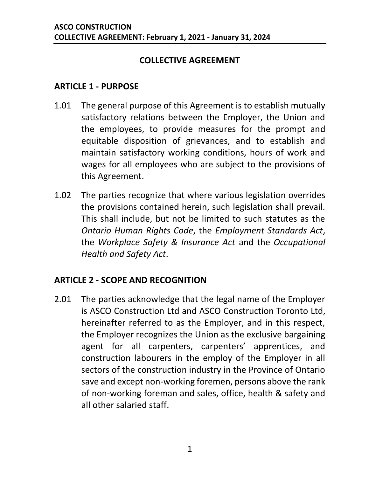#### **COLLECTIVE AGREEMENT**

#### <span id="page-3-0"></span>**ARTICLE 1 - PURPOSE**

- 1.01 The general purpose of this Agreement is to establish mutually satisfactory relations between the Employer, the Union and the employees, to provide measures for the prompt and equitable disposition of grievances, and to establish and maintain satisfactory working conditions, hours of work and wages for all employees who are subject to the provisions of this Agreement.
- 1.02 The parties recognize that where various legislation overrides the provisions contained herein, such legislation shall prevail. This shall include, but not be limited to such statutes as the *Ontario Human Rights Code*, the *Employment Standards Act*, the *Workplace Safety & Insurance Act* and the *Occupational Health and Safety Act*.

#### <span id="page-3-1"></span>**ARTICLE 2 - SCOPE AND RECOGNITION**

2.01 The parties acknowledge that the legal name of the Employer is ASCO Construction Ltd and ASCO Construction Toronto Ltd, hereinafter referred to as the Employer, and in this respect, the Employer recognizes the Union as the exclusive bargaining agent for all carpenters, carpenters' apprentices, and construction labourers in the employ of the Employer in all sectors of the construction industry in the Province of Ontario save and except non-working foremen, persons above the rank of non-working foreman and sales, office, health & safety and all other salaried staff.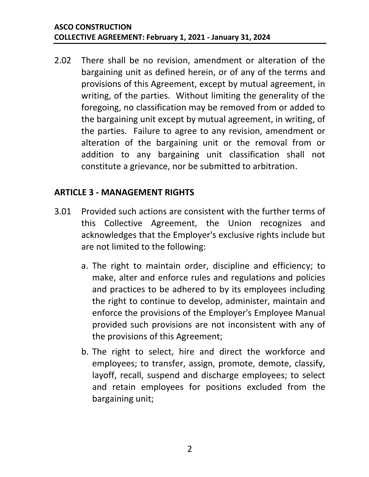2.02 There shall be no revision, amendment or alteration of the bargaining unit as defined herein, or of any of the terms and provisions of this Agreement, except by mutual agreement, in writing, of the parties. Without limiting the generality of the foregoing, no classification may be removed from or added to the bargaining unit except by mutual agreement, in writing, of the parties. Failure to agree to any revision, amendment or alteration of the bargaining unit or the removal from or addition to any bargaining unit classification shall not constitute a grievance, nor be submitted to arbitration.

#### <span id="page-4-0"></span>**ARTICLE 3 - MANAGEMENT RIGHTS**

- <span id="page-4-1"></span>3.01 Provided such actions are consistent with the further terms of this Collective Agreement, the Union recognizes and acknowledges that the Employer's exclusive rights include but are not limited to the following:
	- a. The right to maintain order, discipline and efficiency; to make, alter and enforce rules and regulations and policies and practices to be adhered to by its employees including the right to continue to develop, administer, maintain and enforce the provisions of the Employer's Employee Manual provided such provisions are not inconsistent with any of the provisions of this Agreement;
	- b. The right to select, hire and direct the workforce and employees; to transfer, assign, promote, demote, classify, layoff, recall, suspend and discharge employees; to select and retain employees for positions excluded from the bargaining unit;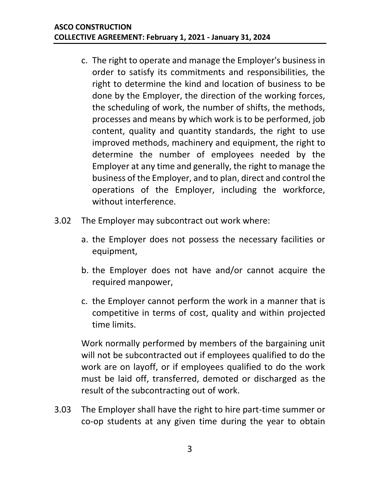- c. The right to operate and manage the Employer's business in order to satisfy its commitments and responsibilities, the right to determine the kind and location of business to be done by the Employer, the direction of the working forces, the scheduling of work, the number of shifts, the methods, processes and means by which work is to be performed, job content, quality and quantity standards, the right to use improved methods, machinery and equipment, the right to determine the number of employees needed by the Employer at any time and generally, the right to manage the business of the Employer, and to plan, direct and control the operations of the Employer, including the workforce, without interference.
- 3.02 The Employer may subcontract out work where:
	- a. the Employer does not possess the necessary facilities or equipment,
	- b. the Employer does not have and/or cannot acquire the required manpower,
	- c. the Employer cannot perform the work in a manner that is competitive in terms of cost, quality and within projected time limits.

Work normally performed by members of the bargaining unit will not be subcontracted out if employees qualified to do the work are on layoff, or if employees qualified to do the work must be laid off, transferred, demoted or discharged as the result of the subcontracting out of work.

3.03 The Employer shall have the right to hire part-time summer or co-op students at any given time during the year to obtain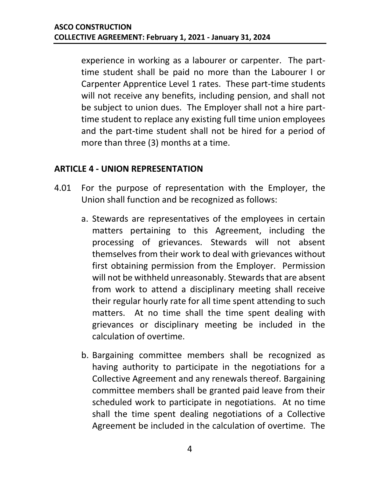experience in working as a labourer or carpenter. The parttime student shall be paid no more than the Labourer I or Carpenter Apprentice Level 1 rates. These part-time students will not receive any benefits, including pension, and shall not be subject to union dues. The Employer shall not a hire parttime student to replace any existing full time union employees and the part-time student shall not be hired for a period of more than three (3) months at a time.

#### <span id="page-6-0"></span>**ARTICLE 4 - UNION REPRESENTATION**

- <span id="page-6-1"></span>4.01 For the purpose of representation with the Employer, the Union shall function and be recognized as follows:
	- a. Stewards are representatives of the employees in certain matters pertaining to this Agreement, including the processing of grievances. Stewards will not absent themselves from their work to deal with grievances without first obtaining permission from the Employer. Permission will not be withheld unreasonably. Stewards that are absent from work to attend a disciplinary meeting shall receive their regular hourly rate for all time spent attending to such matters. At no time shall the time spent dealing with grievances or disciplinary meeting be included in the calculation of overtime.
	- b. Bargaining committee members shall be recognized as having authority to participate in the negotiations for a Collective Agreement and any renewals thereof. Bargaining committee members shall be granted paid leave from their scheduled work to participate in negotiations. At no time shall the time spent dealing negotiations of a Collective Agreement be included in the calculation of overtime. The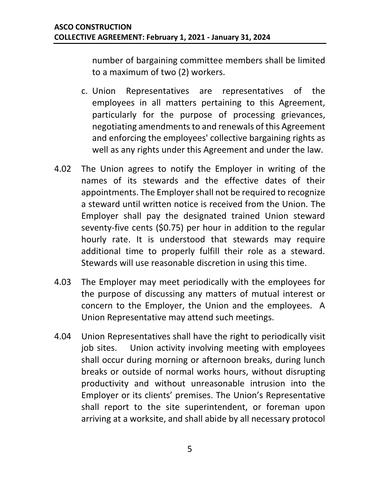number of bargaining committee members shall be limited to a maximum of two (2) workers.

- c. Union Representatives are representatives of the employees in all matters pertaining to this Agreement, particularly for the purpose of processing grievances, negotiating amendments to and renewals of this Agreement and enforcing the employees' collective bargaining rights as well as any rights under this Agreement and under the law.
- 4.02 The Union agrees to notify the Employer in writing of the names of its stewards and the effective dates of their appointments. The Employer shall not be required to recognize a steward until written notice is received from the Union. The Employer shall pay the designated trained Union steward seventy-five cents (\$0.75) per hour in addition to the regular hourly rate. It is understood that stewards may require additional time to properly fulfill their role as a steward. Stewards will use reasonable discretion in using this time.
- 4.03 The Employer may meet periodically with the employees for the purpose of discussing any matters of mutual interest or concern to the Employer, the Union and the employees. A Union Representative may attend such meetings.
- 4.04 Union Representatives shall have the right to periodically visit job sites. Union activity involving meeting with employees shall occur during morning or afternoon breaks, during lunch breaks or outside of normal works hours, without disrupting productivity and without unreasonable intrusion into the Employer or its clients' premises. The Union's Representative shall report to the site superintendent, or foreman upon arriving at a worksite, and shall abide by all necessary protocol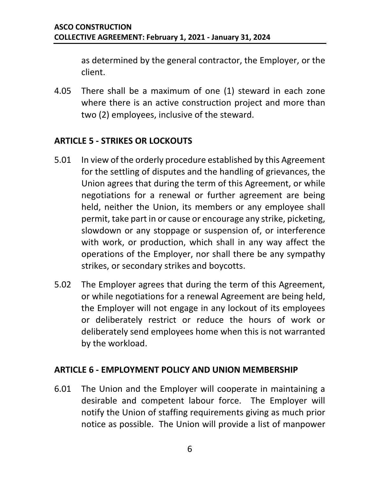as determined by the general contractor, the Employer, or the client.

4.05 There shall be a maximum of one (1) steward in each zone where there is an active construction project and more than two (2) employees, inclusive of the steward.

#### <span id="page-8-0"></span>**ARTICLE 5 - STRIKES OR LOCKOUTS**

- 5.01 In view of the orderly procedure established by this Agreement for the settling of disputes and the handling of grievances, the Union agrees that during the term of this Agreement, or while negotiations for a renewal or further agreement are being held, neither the Union, its members or any employee shall permit, take part in or cause or encourage any strike, picketing, slowdown or any stoppage or suspension of, or interference with work, or production, which shall in any way affect the operations of the Employer, nor shall there be any sympathy strikes, or secondary strikes and boycotts.
- 5.02 The Employer agrees that during the term of this Agreement, or while negotiations for a renewal Agreement are being held, the Employer will not engage in any lockout of its employees or deliberately restrict or reduce the hours of work or deliberately send employees home when this is not warranted by the workload.

#### <span id="page-8-1"></span>**ARTICLE 6 - EMPLOYMENT POLICY AND UNION MEMBERSHIP**

6.01 The Union and the Employer will cooperate in maintaining a desirable and competent labour force. The Employer will notify the Union of staffing requirements giving as much prior notice as possible. The Union will provide a list of manpower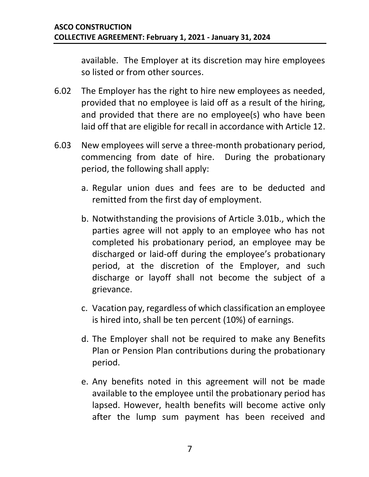available. The Employer at its discretion may hire employees so listed or from other sources.

- 6.02 The Employer has the right to hire new employees as needed, provided that no employee is laid off as a result of the hiring, and provided that there are no employee(s) who have been laid off that are eligible for recall in accordance with Article 12.
- 6.03 New employees will serve a three-month probationary period, commencing from date of hire. During the probationary period, the following shall apply:
	- a. Regular union dues and fees are to be deducted and remitted from the first day of employment.
	- b. Notwithstanding the provisions of Article [3.01b.](#page-4-1), which the parties agree will not apply to an employee who has not completed his probationary period, an employee may be discharged or laid-off during the employee's probationary period, at the discretion of the Employer, and such discharge or layoff shall not become the subject of a grievance.
	- c. Vacation pay, regardless of which classification an employee is hired into, shall be ten percent (10%) of earnings.
	- d. The Employer shall not be required to make any Benefits Plan or Pension Plan contributions during the probationary period.
	- e. Any benefits noted in this agreement will not be made available to the employee until the probationary period has lapsed. However, health benefits will become active only after the lump sum payment has been received and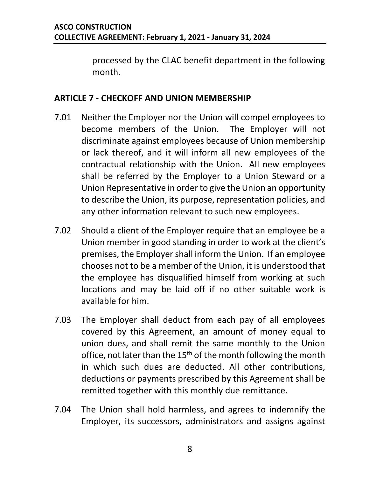processed by the CLAC benefit department in the following month.

#### <span id="page-10-0"></span>**ARTICLE 7 - CHECKOFF AND UNION MEMBERSHIP**

- 7.01 Neither the Employer nor the Union will compel employees to become members of the Union. The Employer will not discriminate against employees because of Union membership or lack thereof, and it will inform all new employees of the contractual relationship with the Union. All new employees shall be referred by the Employer to a Union Steward or a Union Representative in order to give the Union an opportunity to describe the Union, its purpose, representation policies, and any other information relevant to such new employees.
- 7.02 Should a client of the Employer require that an employee be a Union member in good standing in order to work at the client's premises, the Employer shall inform the Union. If an employee chooses not to be a member of the Union, it is understood that the employee has disqualified himself from working at such locations and may be laid off if no other suitable work is available for him.
- <span id="page-10-1"></span>7.03 The Employer shall deduct from each pay of all employees covered by this Agreement, an amount of money equal to union dues, and shall remit the same monthly to the Union office, not later than the 15<sup>th</sup> of the month following the month in which such dues are deducted. All other contributions, deductions or payments prescribed by this Agreement shall be remitted together with this monthly due remittance.
- 7.04 The Union shall hold harmless, and agrees to indemnify the Employer, its successors, administrators and assigns against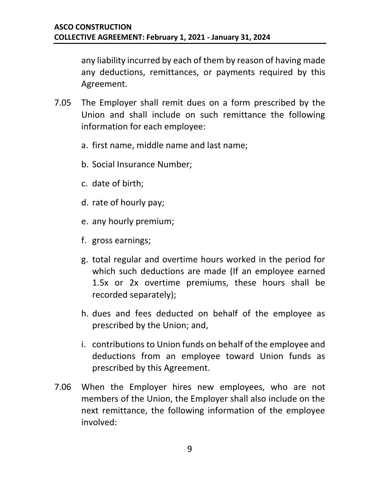any liability incurred by each of them by reason of having made any deductions, remittances, or payments required by this Agreement.

- <span id="page-11-0"></span>7.05 The Employer shall remit dues on a form prescribed by the Union and shall include on such remittance the following information for each employee:
	- a. first name, middle name and last name;
	- b. Social Insurance Number;
	- c. date of birth;
	- d. rate of hourly pay;
	- e. any hourly premium;
	- f. gross earnings;
	- g. total regular and overtime hours worked in the period for which such deductions are made (If an employee earned 1.5x or 2x overtime premiums, these hours shall be recorded separately);
	- h. dues and fees deducted on behalf of the employee as prescribed by the Union; and,
	- i. contributions to Union funds on behalf of the employee and deductions from an employee toward Union funds as prescribed by this Agreement.
- 7.06 When the Employer hires new employees, who are not members of the Union, the Employer shall also include on the next remittance, the following information of the employee involved: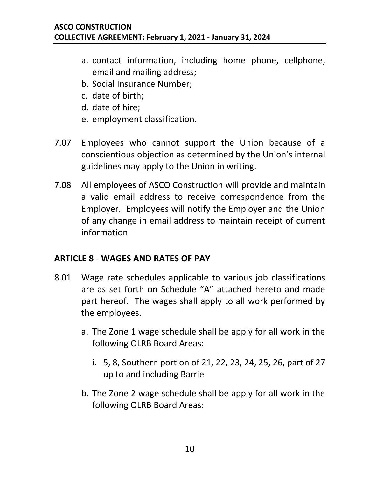- a. contact information, including home phone, cellphone, email and mailing address;
- b. Social Insurance Number;
- c. date of birth;
- d. date of hire;
- e. employment classification.
- 7.07 Employees who cannot support the Union because of a conscientious objection as determined by the Union's internal guidelines may apply to the Union in writing.
- 7.08 All employees of ASCO Construction will provide and maintain a valid email address to receive correspondence from the Employer. Employees will notify the Employer and the Union of any change in email address to maintain receipt of current information.

#### <span id="page-12-0"></span>**ARTICLE 8 - WAGES AND RATES OF PAY**

- 8.01 Wage rate schedules applicable to various job classifications are as set forth on Schedule "A" attached hereto and made part hereof. The wages shall apply to all work performed by the employees.
	- a. The Zone 1 wage schedule shall be apply for all work in the following OLRB Board Areas:
		- i. 5, 8, Southern portion of 21, 22, 23, 24, 25, 26, part of 27 up to and including Barrie
	- b. The Zone 2 wage schedule shall be apply for all work in the following OLRB Board Areas: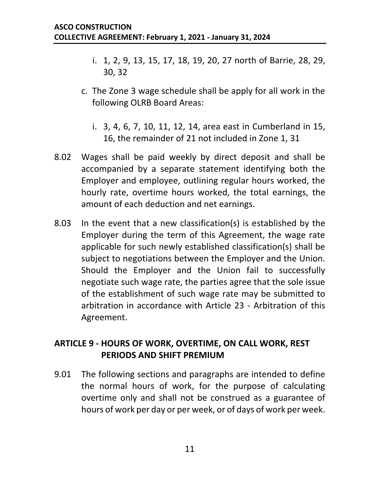- i. 1, 2, 9, 13, 15, 17, 18, 19, 20, 27 north of Barrie, 28, 29, 30, 32
- c. The Zone 3 wage schedule shall be apply for all work in the following OLRB Board Areas:
	- i. 3, 4, 6, 7, 10, 11, 12, 14, area east in Cumberland in 15, 16, the remainder of 21 not included in Zone 1, 31
- 8.02 Wages shall be paid weekly by direct deposit and shall be accompanied by a separate statement identifying both the Employer and employee, outlining regular hours worked, the hourly rate, overtime hours worked, the total earnings, the amount of each deduction and net earnings.
- 8.03 In the event that a new classification(s) is established by the Employer during the term of this Agreement, the wage rate applicable for such newly established classification(s) shall be subject to negotiations between the Employer and the Union. Should the Employer and the Union fail to successfully negotiate such wage rate, the parties agree that the sole issue of the establishment of such wage rate may be submitted to arbitration in accordance with Article 23 - Arbitration of this Agreement.

#### <span id="page-13-0"></span>**ARTICLE 9 - HOURS OF WORK, OVERTIME, ON CALL WORK, REST PERIODS AND SHIFT PREMIUM**

9.01 The following sections and paragraphs are intended to define the normal hours of work, for the purpose of calculating overtime only and shall not be construed as a guarantee of hours of work per day or per week, or of days of work per week.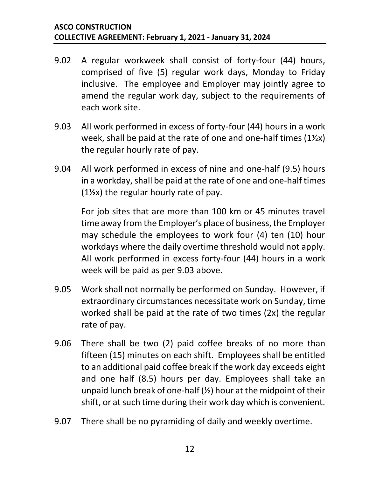- 9.02 A regular workweek shall consist of forty-four (44) hours, comprised of five (5) regular work days, Monday to Friday inclusive. The employee and Employer may jointly agree to amend the regular work day, subject to the requirements of each work site.
- 9.03 All work performed in excess of forty-four (44) hours in a work week, shall be paid at the rate of one and one-half times (1½x) the regular hourly rate of pay.
- 9.04 All work performed in excess of nine and one-half (9.5) hours in a workday, shall be paid at the rate of one and one-half times  $(1\frac{1}{2}x)$  the regular hourly rate of pay.

For job sites that are more than 100 km or 45 minutes travel time away from the Employer's place of business, the Employer may schedule the employees to work four (4) ten (10) hour workdays where the daily overtime threshold would not apply. All work performed in excess forty-four (44) hours in a work week will be paid as per 9.03 above.

- 9.05 Work shall not normally be performed on Sunday. However, if extraordinary circumstances necessitate work on Sunday, time worked shall be paid at the rate of two times (2x) the regular rate of pay.
- 9.06 There shall be two (2) paid coffee breaks of no more than fifteen (15) minutes on each shift. Employees shall be entitled to an additional paid coffee break if the work day exceeds eight and one half (8.5) hours per day. Employees shall take an unpaid lunch break of one-half (½) hour at the midpoint of their shift, or at such time during their work day which is convenient.
- 9.07 There shall be no pyramiding of daily and weekly overtime.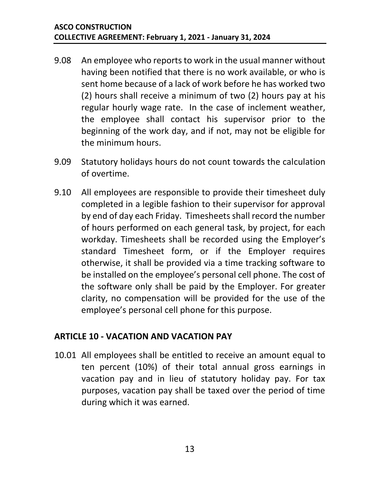- 9.08 An employee who reports to work in the usual manner without having been notified that there is no work available, or who is sent home because of a lack of work before he has worked two (2) hours shall receive a minimum of two (2) hours pay at his regular hourly wage rate. In the case of inclement weather, the employee shall contact his supervisor prior to the beginning of the work day, and if not, may not be eligible for the minimum hours.
- 9.09 Statutory holidays hours do not count towards the calculation of overtime.
- 9.10 All employees are responsible to provide their timesheet duly completed in a legible fashion to their supervisor for approval by end of day each Friday. Timesheets shall record the number of hours performed on each general task, by project, for each workday. Timesheets shall be recorded using the Employer's standard Timesheet form, or if the Employer requires otherwise, it shall be provided via a time tracking software to be installed on the employee's personal cell phone. The cost of the software only shall be paid by the Employer. For greater clarity, no compensation will be provided for the use of the employee's personal cell phone for this purpose.

#### <span id="page-15-0"></span>**ARTICLE 10 - VACATION AND VACATION PAY**

10.01 All employees shall be entitled to receive an amount equal to ten percent (10%) of their total annual gross earnings in vacation pay and in lieu of statutory holiday pay. For tax purposes, vacation pay shall be taxed over the period of time during which it was earned.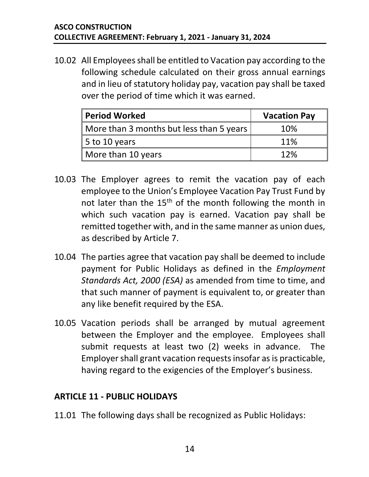10.02 All Employees shall be entitled to Vacation pay according to the following schedule calculated on their gross annual earnings and in lieu of statutory holiday pay, vacation pay shall be taxed over the period of time which it was earned.

| <b>Period Worked</b>                     | <b>Vacation Pay</b> |
|------------------------------------------|---------------------|
| More than 3 months but less than 5 years | 10%                 |
| 5 to 10 years                            | 11%                 |
| More than 10 years                       | 12%                 |

- 10.03 The Employer agrees to remit the vacation pay of each employee to the Union's Employee Vacation Pay Trust Fund by not later than the  $15<sup>th</sup>$  of the month following the month in which such vacation pay is earned. Vacation pay shall be remitted together with, and in the same manner as union dues, as described by Article 7.
- 10.04 The parties agree that vacation pay shall be deemed to include payment for Public Holidays as defined in the *Employment Standards Act, 2000 (ESA)* as amended from time to time, and that such manner of payment is equivalent to, or greater than any like benefit required by the ESA.
- 10.05 Vacation periods shall be arranged by mutual agreement between the Employer and the employee. Employees shall submit requests at least two (2) weeks in advance. The Employer shall grant vacation requests insofar as is practicable, having regard to the exigencies of the Employer's business.

#### <span id="page-16-0"></span>**ARTICLE 11 - PUBLIC HOLIDAYS**

11.01 The following days shall be recognized as Public Holidays: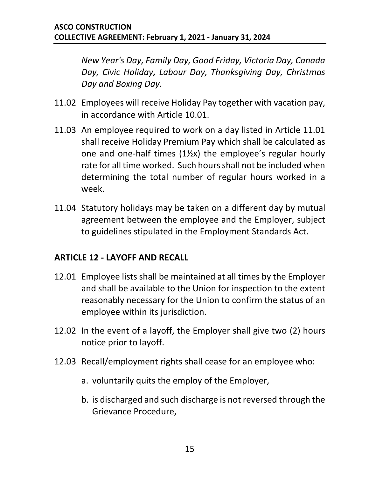*New Year's Day, Family Day, Good Friday, Victoria Day, Canada Day, Civic Holiday, Labour Day, Thanksgiving Day, Christmas Day and Boxing Day.*

- 11.02 Employees will receive Holiday Pay together with vacation pay, in accordance with Article 10.01.
- 11.03 An employee required to work on a day listed in Article 11.01 shall receive Holiday Premium Pay which shall be calculated as one and one-half times (1½x) the employee's regular hourly rate for all time worked. Such hours shall not be included when determining the total number of regular hours worked in a week.
- 11.04 Statutory holidays may be taken on a different day by mutual agreement between the employee and the Employer, subject to guidelines stipulated in the Employment Standards Act.

#### <span id="page-17-0"></span>**ARTICLE 12 - LAYOFF AND RECALL**

- 12.01 Employee lists shall be maintained at all times by the Employer and shall be available to the Union for inspection to the extent reasonably necessary for the Union to confirm the status of an employee within its jurisdiction.
- 12.02 In the event of a layoff, the Employer shall give two (2) hours notice prior to layoff.
- 12.03 Recall/employment rights shall cease for an employee who:
	- a. voluntarily quits the employ of the Employer,
	- b. is discharged and such discharge is not reversed through the Grievance Procedure,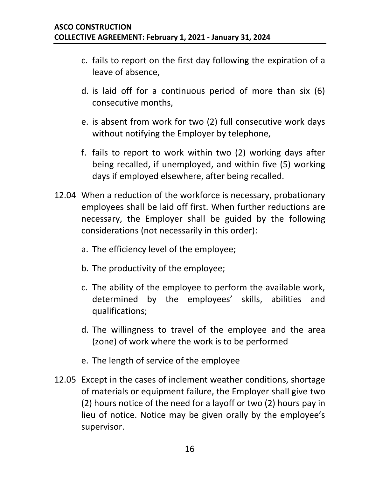- c. fails to report on the first day following the expiration of a leave of absence,
- d. is laid off for a continuous period of more than six (6) consecutive months,
- e. is absent from work for two (2) full consecutive work days without notifying the Employer by telephone,
- f. fails to report to work within two (2) working days after being recalled, if unemployed, and within five (5) working days if employed elsewhere, after being recalled.
- 12.04 When a reduction of the workforce is necessary, probationary employees shall be laid off first. When further reductions are necessary, the Employer shall be guided by the following considerations (not necessarily in this order):
	- a. The efficiency level of the employee;
	- b. The productivity of the employee;
	- c. The ability of the employee to perform the available work, determined by the employees' skills, abilities and qualifications;
	- d. The willingness to travel of the employee and the area (zone) of work where the work is to be performed
	- e. The length of service of the employee
- 12.05 Except in the cases of inclement weather conditions, shortage of materials or equipment failure, the Employer shall give two (2) hours notice of the need for a layoff or two (2) hours pay in lieu of notice. Notice may be given orally by the employee's supervisor.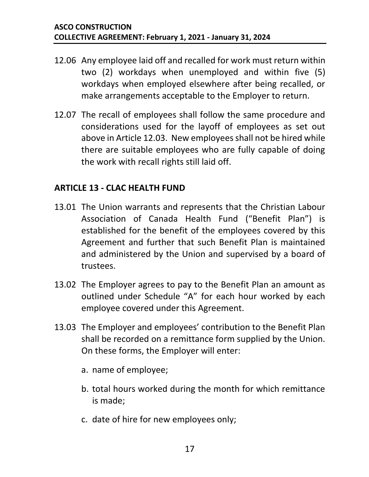- 12.06 Any employee laid off and recalled for work must return within two (2) workdays when unemployed and within five (5) workdays when employed elsewhere after being recalled, or make arrangements acceptable to the Employer to return.
- 12.07 The recall of employees shall follow the same procedure and considerations used for the layoff of employees as set out above in Article 12.03. New employees shall not be hired while there are suitable employees who are fully capable of doing the work with recall rights still laid off.

#### <span id="page-19-0"></span>**ARTICLE 13 - CLAC HEALTH FUND**

- 13.01 The Union warrants and represents that the Christian Labour Association of Canada Health Fund ("Benefit Plan") is established for the benefit of the employees covered by this Agreement and further that such Benefit Plan is maintained and administered by the Union and supervised by a board of trustees.
- 13.02 The Employer agrees to pay to the Benefit Plan an amount as outlined under Schedule "A" for each hour worked by each employee covered under this Agreement.
- 13.03 The Employer and employees' contribution to the Benefit Plan shall be recorded on a remittance form supplied by the Union. On these forms, the Employer will enter:
	- a. name of employee;
	- b. total hours worked during the month for which remittance is made;
	- c. date of hire for new employees only;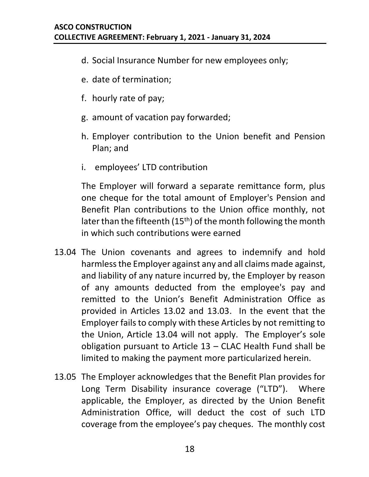- d. Social Insurance Number for new employees only;
- e. date of termination;
- f. hourly rate of pay;
- g. amount of vacation pay forwarded;
- h. Employer contribution to the Union benefit and Pension Plan; and
- i. employees' LTD contribution

The Employer will forward a separate remittance form, plus one cheque for the total amount of Employer's Pension and Benefit Plan contributions to the Union office monthly, not later than the fifteenth  $(15<sup>th</sup>)$  of the month following the month in which such contributions were earned

- 13.04 The Union covenants and agrees to indemnify and hold harmless the Employer against any and all claims made against, and liability of any nature incurred by, the Employer by reason of any amounts deducted from the employee's pay and remitted to the Union's Benefit Administration Office as provided in Articles 13.02 and 13.03. In the event that the Employer fails to comply with these Articles by not remitting to the Union, Article 13.04 will not apply. The Employer's sole obligation pursuant to Article 13 – CLAC Health Fund shall be limited to making the payment more particularized herein.
- 13.05 The Employer acknowledges that the Benefit Plan provides for Long Term Disability insurance coverage ("LTD"). Where applicable, the Employer, as directed by the Union Benefit Administration Office, will deduct the cost of such LTD coverage from the employee's pay cheques. The monthly cost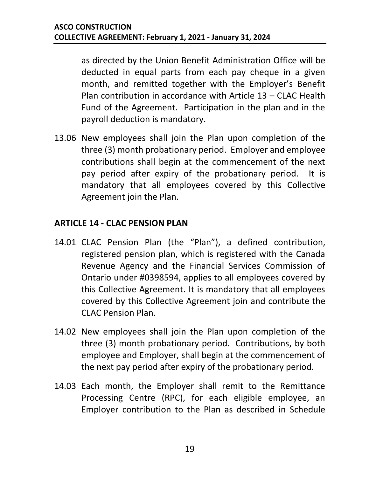as directed by the Union Benefit Administration Office will be deducted in equal parts from each pay cheque in a given month, and remitted together with the Employer's Benefit Plan contribution in accordance with Article 13 – CLAC Health Fund of the Agreement. Participation in the plan and in the payroll deduction is mandatory.

13.06 New employees shall join the Plan upon completion of the three (3) month probationary period. Employer and employee contributions shall begin at the commencement of the next pay period after expiry of the probationary period. It is mandatory that all employees covered by this Collective Agreement join the Plan.

#### <span id="page-21-0"></span>**ARTICLE 14 - CLAC PENSION PLAN**

- 14.01 CLAC Pension Plan (the "Plan"), a defined contribution, registered pension plan, which is registered with the Canada Revenue Agency and the Financial Services Commission of Ontario under #0398594, applies to all employees covered by this Collective Agreement. It is mandatory that all employees covered by this Collective Agreement join and contribute the CLAC Pension Plan.
- 14.02 New employees shall join the Plan upon completion of the three (3) month probationary period. Contributions, by both employee and Employer, shall begin at the commencement of the next pay period after expiry of the probationary period.
- 14.03 Each month, the Employer shall remit to the Remittance Processing Centre (RPC), for each eligible employee, an Employer contribution to the Plan as described in Schedule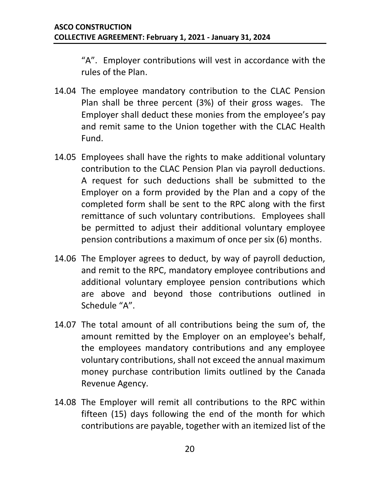"A". Employer contributions will vest in accordance with the rules of the Plan.

- 14.04 The employee mandatory contribution to the CLAC Pension Plan shall be three percent (3%) of their gross wages. The Employer shall deduct these monies from the employee's pay and remit same to the Union together with the CLAC Health Fund.
- 14.05 Employees shall have the rights to make additional voluntary contribution to the CLAC Pension Plan via payroll deductions. A request for such deductions shall be submitted to the Employer on a form provided by the Plan and a copy of the completed form shall be sent to the RPC along with the first remittance of such voluntary contributions. Employees shall be permitted to adjust their additional voluntary employee pension contributions a maximum of once per six (6) months.
- 14.06 The Employer agrees to deduct, by way of payroll deduction, and remit to the RPC, mandatory employee contributions and additional voluntary employee pension contributions which are above and beyond those contributions outlined in Schedule "A".
- 14.07 The total amount of all contributions being the sum of, the amount remitted by the Employer on an employee's behalf, the employees mandatory contributions and any employee voluntary contributions, shall not exceed the annual maximum money purchase contribution limits outlined by the Canada Revenue Agency.
- 14.08 The Employer will remit all contributions to the RPC within fifteen (15) days following the end of the month for which contributions are payable, together with an itemized list of the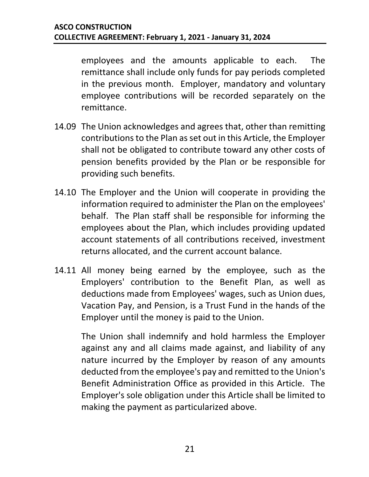employees and the amounts applicable to each. The remittance shall include only funds for pay periods completed in the previous month. Employer, mandatory and voluntary employee contributions will be recorded separately on the remittance.

- 14.09 The Union acknowledges and agrees that, other than remitting contributions to the Plan as set out in this Article, the Employer shall not be obligated to contribute toward any other costs of pension benefits provided by the Plan or be responsible for providing such benefits.
- 14.10 The Employer and the Union will cooperate in providing the information required to administer the Plan on the employees' behalf. The Plan staff shall be responsible for informing the employees about the Plan, which includes providing updated account statements of all contributions received, investment returns allocated, and the current account balance.
- 14.11 All money being earned by the employee, such as the Employers' contribution to the Benefit Plan, as well as deductions made from Employees' wages, such as Union dues, Vacation Pay, and Pension, is a Trust Fund in the hands of the Employer until the money is paid to the Union.

The Union shall indemnify and hold harmless the Employer against any and all claims made against, and liability of any nature incurred by the Employer by reason of any amounts deducted from the employee's pay and remitted to the Union's Benefit Administration Office as provided in this Article. The Employer's sole obligation under this Article shall be limited to making the payment as particularized above.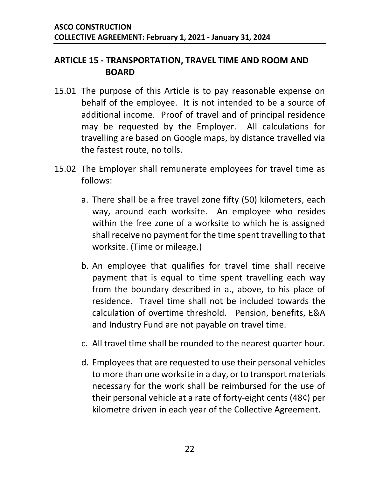#### <span id="page-24-0"></span>**ARTICLE 15 - TRANSPORTATION, TRAVEL TIME AND ROOM AND BOARD**

- 15.01 The purpose of this Article is to pay reasonable expense on behalf of the employee. It is not intended to be a source of additional income. Proof of travel and of principal residence may be requested by the Employer. All calculations for travelling are based on Google maps, by distance travelled via the fastest route, no tolls.
- <span id="page-24-1"></span>15.02 The Employer shall remunerate employees for travel time as follows:
	- a. There shall be a free travel zone fifty (50) kilometers, each way, around each worksite. An employee who resides within the free zone of a worksite to which he is assigned shall receive no payment for the time spent travelling to that worksite. (Time or mileage.)
	- b. An employee that qualifies for travel time shall receive payment that is equal to time spent travelling each way from the boundary described in a., above, to his place of residence. Travel time shall not be included towards the calculation of overtime threshold. Pension, benefits, E&A and Industry Fund are not payable on travel time.
	- c. All travel time shall be rounded to the nearest quarter hour.
	- d. Employees that are requested to use their personal vehicles to more than one worksite in a day, or to transport materials necessary for the work shall be reimbursed for the use of their personal vehicle at a rate of forty-eight cents (48¢) per kilometre driven in each year of the Collective Agreement.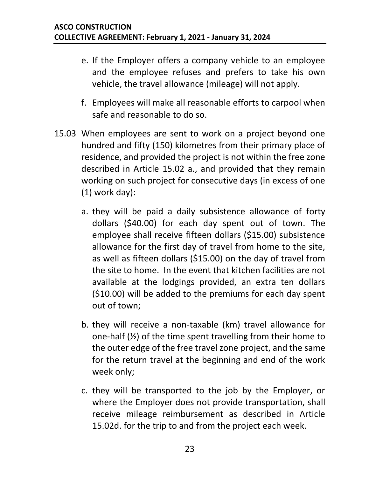- e. If the Employer offers a company vehicle to an employee and the employee refuses and prefers to take his own vehicle, the travel allowance (mileage) will not apply.
- f. Employees will make all reasonable efforts to carpool when safe and reasonable to do so.
- <span id="page-25-1"></span><span id="page-25-0"></span>15.03 When employees are sent to work on a project beyond one hundred and fifty (150) kilometres from their primary place of residence, and provided the project is not within the free zone described in Article 15.02 a., and provided that they remain working on such project for consecutive days (in excess of one (1) work day):
	- a. they will be paid a daily subsistence allowance of forty dollars (\$40.00) for each day spent out of town. The employee shall receive fifteen dollars (\$15.00) subsistence allowance for the first day of travel from home to the site, as well as fifteen dollars (\$15.00) on the day of travel from the site to home. In the event that kitchen facilities are not available at the lodgings provided, an extra ten dollars (\$10.00) will be added to the premiums for each day spent out of town;
	- b. they will receive a non-taxable (km) travel allowance for one-half (½) of the time spent travelling from their home to the outer edge of the free travel zone project, and the same for the return travel at the beginning and end of the work week only;
	- c. they will be transported to the job by the Employer, or where the Employer does not provide transportation, shall receive mileage reimbursement as described in Article [15.02d.](#page-24-1) for the trip to and from the project each week.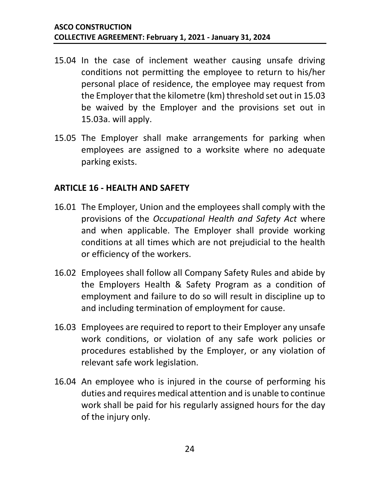- 15.04 In the case of inclement weather causing unsafe driving conditions not permitting the employee to return to his/her personal place of residence, the employee may request from the Employer that the kilometre (km) threshold set out in [15.03](#page-25-0) be waived by the Employer and the provisions set out in [15.03a.](#page-25-1) will apply.
- 15.05 The Employer shall make arrangements for parking when employees are assigned to a worksite where no adequate parking exists.

#### <span id="page-26-0"></span>**ARTICLE 16 - HEALTH AND SAFETY**

- 16.01 The Employer, Union and the employees shall comply with the provisions of the *Occupational Health and Safety Act* where and when applicable. The Employer shall provide working conditions at all times which are not prejudicial to the health or efficiency of the workers.
- 16.02 Employees shall follow all Company Safety Rules and abide by the Employers Health & Safety Program as a condition of employment and failure to do so will result in discipline up to and including termination of employment for cause.
- 16.03 Employees are required to report to their Employer any unsafe work conditions, or violation of any safe work policies or procedures established by the Employer, or any violation of relevant safe work legislation.
- 16.04 An employee who is injured in the course of performing his duties and requires medical attention and is unable to continue work shall be paid for his regularly assigned hours for the day of the injury only.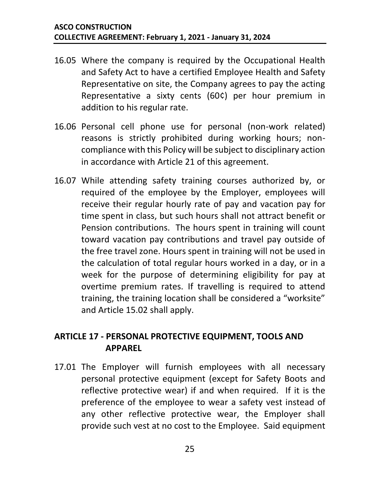- 16.05 Where the company is required by the Occupational Health and Safety Act to have a certified Employee Health and Safety Representative on site, the Company agrees to pay the acting Representative a sixty cents (60¢) per hour premium in addition to his regular rate.
- 16.06 Personal cell phone use for personal (non-work related) reasons is strictly prohibited during working hours; noncompliance with this Policy will be subject to disciplinary action in accordance with Article 21 of this agreement.
- 16.07 While attending safety training courses authorized by, or required of the employee by the Employer, employees will receive their regular hourly rate of pay and vacation pay for time spent in class, but such hours shall not attract benefit or Pension contributions. The hours spent in training will count toward vacation pay contributions and travel pay outside of the free travel zone. Hours spent in training will not be used in the calculation of total regular hours worked in a day, or in a week for the purpose of determining eligibility for pay at overtime premium rates. If travelling is required to attend training, the training location shall be considered a "worksite" and Article 15.02 shall apply.

#### <span id="page-27-0"></span>**ARTICLE 17 - PERSONAL PROTECTIVE EQUIPMENT, TOOLS AND APPAREL**

17.01 The Employer will furnish employees with all necessary personal protective equipment (except for Safety Boots and reflective protective wear) if and when required. If it is the preference of the employee to wear a safety vest instead of any other reflective protective wear, the Employer shall provide such vest at no cost to the Employee. Said equipment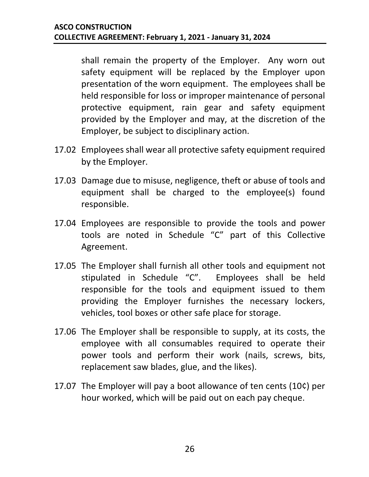shall remain the property of the Employer. Any worn out safety equipment will be replaced by the Employer upon presentation of the worn equipment. The employees shall be held responsible for loss or improper maintenance of personal protective equipment, rain gear and safety equipment provided by the Employer and may, at the discretion of the Employer, be subject to disciplinary action.

- 17.02 Employees shall wear all protective safety equipment required by the Employer.
- 17.03 Damage due to misuse, negligence, theft or abuse of tools and equipment shall be charged to the employee(s) found responsible.
- 17.04 Employees are responsible to provide the tools and power tools are noted in Schedule "C" part of this Collective Agreement.
- 17.05 The Employer shall furnish all other tools and equipment not stipulated in Schedule "C". Employees shall be held responsible for the tools and equipment issued to them providing the Employer furnishes the necessary lockers, vehicles, tool boxes or other safe place for storage.
- 17.06 The Employer shall be responsible to supply, at its costs, the employee with all consumables required to operate their power tools and perform their work (nails, screws, bits, replacement saw blades, glue, and the likes).
- <span id="page-28-0"></span>17.07 The Employer will pay a boot allowance of ten cents (10¢) per hour worked, which will be paid out on each pay cheque.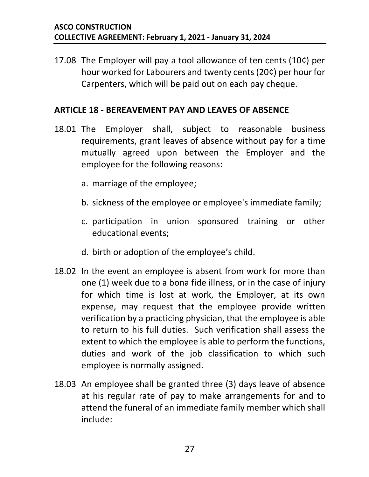17.08 The Employer will pay a tool allowance of ten cents (10¢) per hour worked for Labourers and twenty cents (20¢) per hour for Carpenters, which will be paid out on each pay cheque.

#### **ARTICLE 18 - BEREAVEMENT PAY AND LEAVES OF ABSENCE**

- 18.01 The Employer shall, subject to reasonable business requirements, grant leaves of absence without pay for a time mutually agreed upon between the Employer and the employee for the following reasons:
	- a. marriage of the employee;
	- b. sickness of the employee or employee's immediate family;
	- c. participation in union sponsored training or other educational events;
	- d. birth or adoption of the employee's child.
- 18.02 In the event an employee is absent from work for more than one (1) week due to a bona fide illness, or in the case of injury for which time is lost at work, the Employer, at its own expense, may request that the employee provide written verification by a practicing physician, that the employee is able to return to his full duties. Such verification shall assess the extent to which the employee is able to perform the functions, duties and work of the job classification to which such employee is normally assigned.
- 18.03 An employee shall be granted three (3) days leave of absence at his regular rate of pay to make arrangements for and to attend the funeral of an immediate family member which shall include: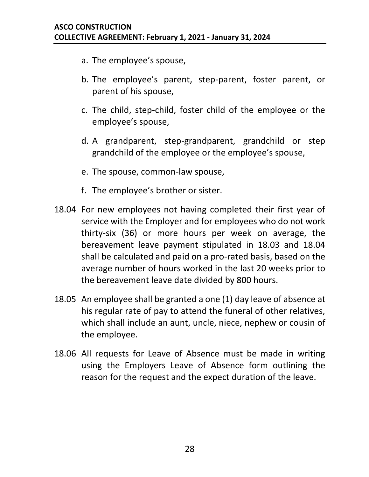- a. The employee's spouse,
- b. The employee's parent, step-parent, foster parent, or parent of his spouse,
- c. The child, step-child, foster child of the employee or the employee's spouse,
- d. A grandparent, step-grandparent, grandchild or step grandchild of the employee or the employee's spouse,
- e. The spouse, common-law spouse,
- f. The employee's brother or sister.
- 18.04 For new employees not having completed their first year of service with the Employer and for employees who do not work thirty-six (36) or more hours per week on average, the bereavement leave payment stipulated in 18.03 and 18.04 shall be calculated and paid on a pro-rated basis, based on the average number of hours worked in the last 20 weeks prior to the bereavement leave date divided by 800 hours.
- 18.05 An employee shall be granted a one (1) day leave of absence at his regular rate of pay to attend the funeral of other relatives, which shall include an aunt, uncle, niece, nephew or cousin of the employee.
- 18.06 All requests for Leave of Absence must be made in writing using the Employers Leave of Absence form outlining the reason for the request and the expect duration of the leave.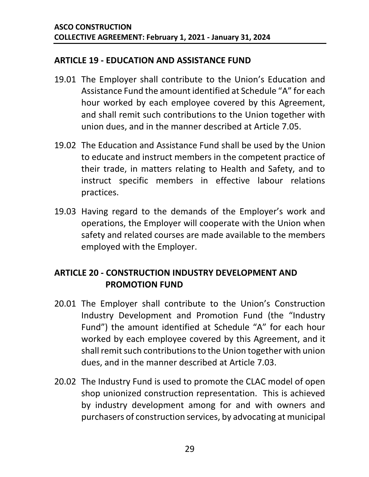#### <span id="page-31-0"></span>**ARTICLE 19 - EDUCATION AND ASSISTANCE FUND**

- 19.01 The Employer shall contribute to the Union's Education and Assistance Fund the amount identified at Schedule "A" for each hour worked by each employee covered by this Agreement, and shall remit such contributions to the Union together with union dues, and in the manner described at Article [7.05.](#page-11-0)
- 19.02 The Education and Assistance Fund shall be used by the Union to educate and instruct members in the competent practice of their trade, in matters relating to Health and Safety, and to instruct specific members in effective labour relations practices.
- 19.03 Having regard to the demands of the Employer's work and operations, the Employer will cooperate with the Union when safety and related courses are made available to the members employed with the Employer.

#### <span id="page-31-1"></span>**ARTICLE 20 - CONSTRUCTION INDUSTRY DEVELOPMENT AND PROMOTION FUND**

- 20.01 The Employer shall contribute to the Union's Construction Industry Development and Promotion Fund (the "Industry Fund") the amount identified at Schedule "A" for each hour worked by each employee covered by this Agreement, and it shall remit such contributions to the Union together with union dues, and in the manner described at Article [7.03.](#page-10-1)
- 20.02 The Industry Fund is used to promote the CLAC model of open shop unionized construction representation. This is achieved by industry development among for and with owners and purchasers of construction services, by advocating at municipal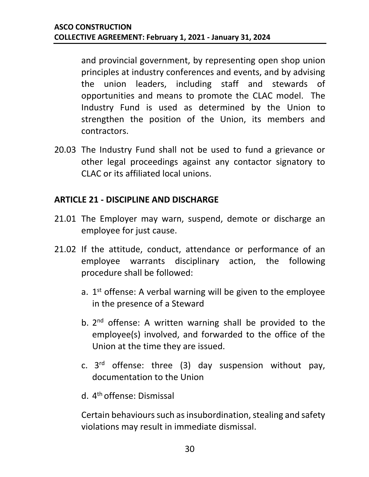and provincial government, by representing open shop union principles at industry conferences and events, and by advising the union leaders, including staff and stewards of opportunities and means to promote the CLAC model. The Industry Fund is used as determined by the Union to strengthen the position of the Union, its members and contractors.

20.03 The Industry Fund shall not be used to fund a grievance or other legal proceedings against any contactor signatory to CLAC or its affiliated local unions.

#### <span id="page-32-0"></span>**ARTICLE 21 - DISCIPLINE AND DISCHARGE**

- 21.01 The Employer may warn, suspend, demote or discharge an employee for just cause.
- 21.02 If the attitude, conduct, attendance or performance of an employee warrants disciplinary action, the following procedure shall be followed:
	- a.  $1<sup>st</sup>$  offense: A verbal warning will be given to the employee in the presence of a Steward
	- b. 2<sup>nd</sup> offense: A written warning shall be provided to the employee(s) involved, and forwarded to the office of the Union at the time they are issued.
	- c. 3 rd offense: three (3) day suspension without pay, documentation to the Union
	- d. 4<sup>th</sup> offense: Dismissal

Certain behaviours such as insubordination, stealing and safety violations may result in immediate dismissal.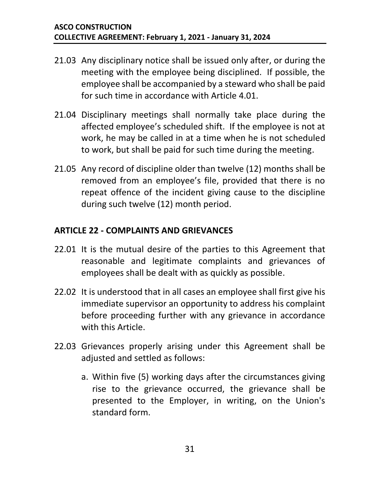- 21.03 Any disciplinary notice shall be issued only after, or during the meeting with the employee being disciplined. If possible, the employee shall be accompanied by a steward who shall be paid for such time in accordance with Article [4.01.](#page-6-1)
- 21.04 Disciplinary meetings shall normally take place during the affected employee's scheduled shift. If the employee is not at work, he may be called in at a time when he is not scheduled to work, but shall be paid for such time during the meeting.
- 21.05 Any record of discipline older than twelve (12) months shall be removed from an employee's file, provided that there is no repeat offence of the incident giving cause to the discipline during such twelve (12) month period.

#### <span id="page-33-0"></span>**ARTICLE 22 - COMPLAINTS AND GRIEVANCES**

- 22.01 It is the mutual desire of the parties to this Agreement that reasonable and legitimate complaints and grievances of employees shall be dealt with as quickly as possible.
- 22.02 It is understood that in all cases an employee shall first give his immediate supervisor an opportunity to address his complaint before proceeding further with any grievance in accordance with this Article.
- <span id="page-33-1"></span>22.03 Grievances properly arising under this Agreement shall be adjusted and settled as follows:
	- a. Within five (5) working days after the circumstances giving rise to the grievance occurred, the grievance shall be presented to the Employer, in writing, on the Union's standard form.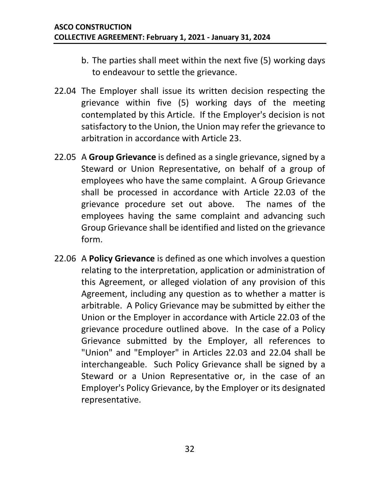- b. The parties shall meet within the next five (5) working days to endeavour to settle the grievance.
- 22.04 The Employer shall issue its written decision respecting the grievance within five (5) working days of the meeting contemplated by this Article. If the Employer's decision is not satisfactory to the Union, the Union may refer the grievance to arbitration in accordance with Article 23.
- <span id="page-34-0"></span>22.05 A **Group Grievance** is defined as a single grievance, signed by a Steward or Union Representative, on behalf of a group of employees who have the same complaint. A Group Grievance shall be processed in accordance with Article 22.03 of the grievance procedure set out above. The names of the employees having the same complaint and advancing such Group Grievance shall be identified and listed on the grievance form.
- 22.06 A **Policy Grievance** is defined as one which involves a question relating to the interpretation, application or administration of this Agreement, or alleged violation of any provision of this Agreement, including any question as to whether a matter is arbitrable. A Policy Grievance may be submitted by either the Union or the Employer in accordance with Article 22.03 of the grievance procedure outlined above. In the case of a Policy Grievance submitted by the Employer, all references to "Union" and "Employer" in Articles [22.03](#page-33-1) and 22.04 shall be interchangeable. Such Policy Grievance shall be signed by a Steward or a Union Representative or, in the case of an Employer's Policy Grievance, by the Employer or its designated representative.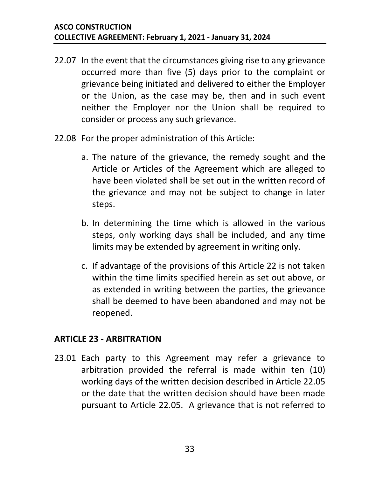- 22.07 In the event that the circumstances giving rise to any grievance occurred more than five (5) days prior to the complaint or grievance being initiated and delivered to either the Employer or the Union, as the case may be, then and in such event neither the Employer nor the Union shall be required to consider or process any such grievance.
- 22.08 For the proper administration of this Article:
	- a. The nature of the grievance, the remedy sought and the Article or Articles of the Agreement which are alleged to have been violated shall be set out in the written record of the grievance and may not be subject to change in later steps.
	- b. In determining the time which is allowed in the various steps, only working days shall be included, and any time limits may be extended by agreement in writing only.
	- c. If advantage of the provisions of this Article 22 is not taken within the time limits specified herein as set out above, or as extended in writing between the parties, the grievance shall be deemed to have been abandoned and may not be reopened.

#### <span id="page-35-0"></span>**ARTICLE 23 - ARBITRATION**

23.01 Each party to this Agreement may refer a grievance to arbitration provided the referral is made within ten (10) working days of the written decision described in Article [22.05](#page-34-0) or the date that the written decision should have been made pursuant to Article 22.05. A grievance that is not referred to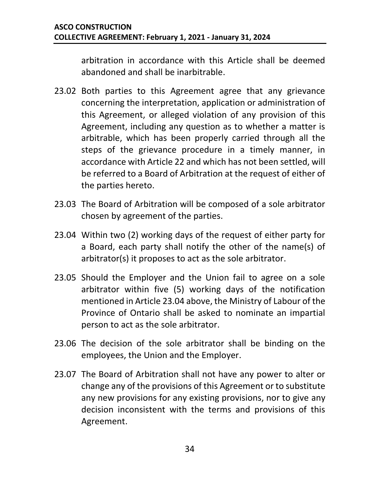arbitration in accordance with this Article shall be deemed abandoned and shall be inarbitrable.

- 23.02 Both parties to this Agreement agree that any grievance concerning the interpretation, application or administration of this Agreement, or alleged violation of any provision of this Agreement, including any question as to whether a matter is arbitrable, which has been properly carried through all the steps of the grievance procedure in a timely manner, in accordance with Article 22 and which has not been settled, will be referred to a Board of Arbitration at the request of either of the parties hereto.
- 23.03 The Board of Arbitration will be composed of a sole arbitrator chosen by agreement of the parties.
- <span id="page-36-0"></span>23.04 Within two (2) working days of the request of either party for a Board, each party shall notify the other of the name(s) of arbitrator(s) it proposes to act as the sole arbitrator.
- 23.05 Should the Employer and the Union fail to agree on a sole arbitrator within five (5) working days of the notification mentioned in Article [23.04](#page-36-0) above, the Ministry of Labour of the Province of Ontario shall be asked to nominate an impartial person to act as the sole arbitrator.
- 23.06 The decision of the sole arbitrator shall be binding on the employees, the Union and the Employer.
- 23.07 The Board of Arbitration shall not have any power to alter or change any of the provisions of this Agreement or to substitute any new provisions for any existing provisions, nor to give any decision inconsistent with the terms and provisions of this Agreement.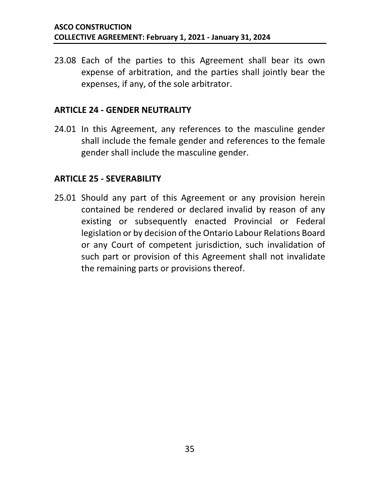23.08 Each of the parties to this Agreement shall bear its own expense of arbitration, and the parties shall jointly bear the expenses, if any, of the sole arbitrator.

#### <span id="page-37-0"></span>**ARTICLE 24 - GENDER NEUTRALITY**

24.01 In this Agreement, any references to the masculine gender shall include the female gender and references to the female gender shall include the masculine gender.

#### <span id="page-37-1"></span>**ARTICLE 25 - SEVERABILITY**

<span id="page-37-2"></span>25.01 Should any part of this Agreement or any provision herein contained be rendered or declared invalid by reason of any existing or subsequently enacted Provincial or Federal legislation or by decision of the Ontario Labour Relations Board or any Court of competent jurisdiction, such invalidation of such part or provision of this Agreement shall not invalidate the remaining parts or provisions thereof.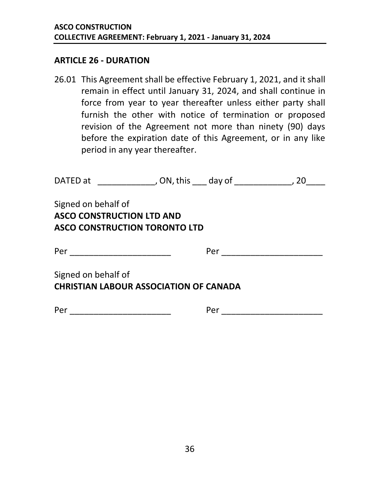#### **ARTICLE 26 - DURATION**

26.01 This Agreement shall be effective February 1, 2021, and it shall remain in effect until January 31, 2024, and shall continue in force from year to year thereafter unless either party shall furnish the other with notice of termination or proposed revision of the Agreement not more than ninety (90) days before the expiration date of this Agreement, or in any like period in any year thereafter.

| DATED at ___________________, ON, this ____ day of _______________                              |  | 20 |
|-------------------------------------------------------------------------------------------------|--|----|
| Signed on behalf of<br><b>ASCO CONSTRUCTION LTD AND</b><br><b>ASCO CONSTRUCTION TORONTO LTD</b> |  |    |
| Per ____________________________                                                                |  |    |
| Signed on behalf of<br><b>CHRISTIAN LABOUR ASSOCIATION OF CANADA</b>                            |  |    |
|                                                                                                 |  |    |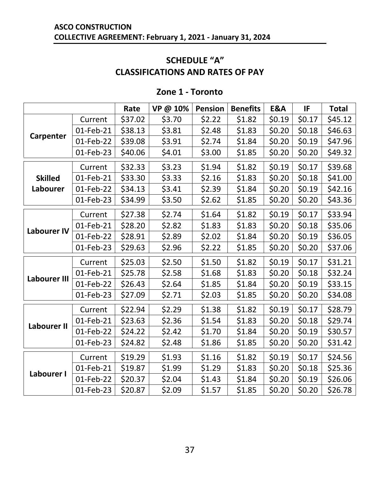#### **SCHEDULE "A" CLASSIFICATIONS AND RATES OF PAY**

<span id="page-39-0"></span>

|                     |           | Rate    | VP @ 10% | <b>Pension</b> | <b>Benefits</b> | <b>E&amp;A</b> | IF     | <b>Total</b> |
|---------------------|-----------|---------|----------|----------------|-----------------|----------------|--------|--------------|
|                     | Current   | \$37.02 | \$3.70   | \$2.22         | \$1.82          | \$0.19         | \$0.17 | \$45.12      |
|                     | 01-Feb-21 | \$38.13 | \$3.81   | \$2.48         | \$1.83          | \$0.20         | \$0.18 | \$46.63      |
| Carpenter           | 01-Feb-22 | \$39.08 | \$3.91   | \$2.74         | \$1.84          | \$0.20         | \$0.19 | \$47.96      |
|                     | 01-Feb-23 | \$40.06 | \$4.01   | \$3.00         | \$1.85          | \$0.20         | \$0.20 | \$49.32      |
|                     | Current   | \$32.33 | \$3.23   | \$1.94         | \$1.82          | \$0.19         | \$0.17 | \$39.68      |
| <b>Skilled</b>      | 01-Feb-21 | \$33.30 | \$3.33   | \$2.16         | \$1.83          | \$0.20         | \$0.18 | \$41.00      |
| Labourer            | 01-Feb-22 | \$34.13 | \$3.41   | \$2.39         | \$1.84          | \$0.20         | \$0.19 | \$42.16      |
|                     | 01-Feb-23 | \$34.99 | \$3.50   | \$2.62         | \$1.85          | \$0.20         | \$0.20 | \$43.36      |
|                     | Current   | \$27.38 | \$2.74   | \$1.64         | \$1.82          | \$0.19         | \$0.17 | \$33.94      |
|                     | 01-Feb-21 | \$28.20 | \$2.82   | \$1.83         | \$1.83          | \$0.20         | \$0.18 | \$35.06      |
| <b>Labourer IV</b>  | 01-Feb-22 | \$28.91 | \$2.89   | \$2.02         | \$1.84          | \$0.20         | \$0.19 | \$36.05      |
|                     | 01-Feb-23 | \$29.63 | \$2.96   | \$2.22         | \$1.85          | \$0.20         | \$0.20 | \$37.06      |
|                     | Current   | \$25.03 | \$2.50   | \$1.50         | \$1.82          | \$0.19         | \$0.17 | \$31.21      |
|                     | 01-Feb-21 | \$25.78 | \$2.58   | \$1.68         | \$1.83          | \$0.20         | \$0.18 | \$32.24      |
| <b>Labourer III</b> | 01-Feb-22 | \$26.43 | \$2.64   | \$1.85         | \$1.84          | \$0.20         | \$0.19 | \$33.15      |
|                     | 01-Feb-23 | \$27.09 | \$2.71   | \$2.03         | \$1.85          | \$0.20         | \$0.20 | \$34.08      |
|                     | Current   | \$22.94 | \$2.29   | \$1.38         | \$1.82          | \$0.19         | \$0.17 | \$28.79      |
|                     | 01-Feb-21 | \$23.63 | \$2.36   | \$1.54         | \$1.83          | \$0.20         | \$0.18 | \$29.74      |
| <b>Labourer II</b>  | 01-Feb-22 | \$24.22 | \$2.42   | \$1.70         | \$1.84          | \$0.20         | \$0.19 | \$30.57      |
|                     | 01-Feb-23 | \$24.82 | \$2.48   | \$1.86         | \$1.85          | \$0.20         | \$0.20 | \$31.42      |
|                     | Current   | \$19.29 | \$1.93   | \$1.16         | \$1.82          | \$0.19         | \$0.17 | \$24.56      |
|                     | 01-Feb-21 | \$19.87 | \$1.99   | \$1.29         | \$1.83          | \$0.20         | \$0.18 | \$25.36      |
| Labourer I          | 01-Feb-22 | \$20.37 | \$2.04   | \$1.43         | \$1.84          | \$0.20         | \$0.19 | \$26.06      |
|                     | 01-Feb-23 | \$20.87 | \$2.09   | \$1.57         | \$1.85          | \$0.20         | \$0.20 | \$26.78      |

#### **Zone 1 - Toronto**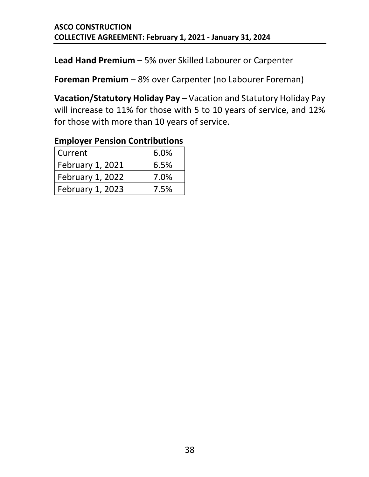**Lead Hand Premium** – 5% over Skilled Labourer or Carpenter

**Foreman Premium** – 8% over Carpenter (no Labourer Foreman)

**Vacation/Statutory Holiday Pay** – Vacation and Statutory Holiday Pay will increase to 11% for those with 5 to 10 years of service, and 12% for those with more than 10 years of service.

| LITING TO THE CHUIGHT CONTRIBUTIONS |      |
|-------------------------------------|------|
| Current                             | 6.0% |
| February 1, 2021                    | 6.5% |
| <b>February 1, 2022</b>             | 7.0% |
| <b>February 1, 2023</b>             | 7.5% |

#### **Employer Pension Contributions**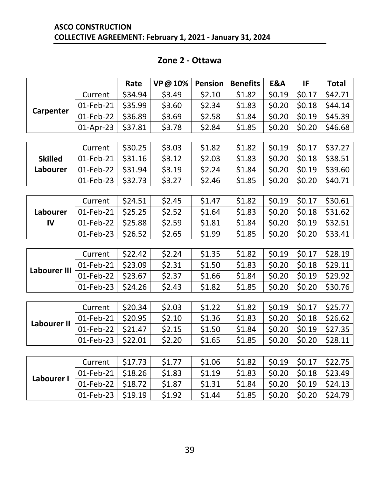#### **Zone 2 - Ottawa**

|                    |           | Rate    | VP@10% | <b>Pension</b> | <b>Benefits</b> | E&A    | IF     | <b>Total</b> |
|--------------------|-----------|---------|--------|----------------|-----------------|--------|--------|--------------|
|                    | Current   | \$34.94 | \$3.49 | \$2.10         | \$1.82          | \$0.19 | \$0.17 | \$42.71      |
|                    | 01-Feb-21 | \$35.99 | \$3.60 | \$2.34         | \$1.83          | \$0.20 | \$0.18 | \$44.14      |
| Carpenter          | 01-Feb-22 | \$36.89 | \$3.69 | \$2.58         | \$1.84          | \$0.20 | \$0.19 | \$45.39      |
|                    | 01-Apr-23 | \$37.81 | \$3.78 | \$2.84         | \$1.85          | \$0.20 | \$0.20 | \$46.68      |
|                    |           |         |        |                |                 |        |        |              |
|                    | Current   | \$30.25 | \$3.03 | \$1.82         | \$1.82          | \$0.19 | \$0.17 | \$37.27      |
| <b>Skilled</b>     | 01-Feb-21 | \$31.16 | \$3.12 | \$2.03         | \$1.83          | \$0.20 | \$0.18 | \$38.51      |
| Labourer           | 01-Feb-22 | \$31.94 | \$3.19 | \$2.24         | \$1.84          | \$0.20 | \$0.19 | \$39.60      |
|                    | 01-Feb-23 | \$32.73 | \$3.27 | \$2.46         | \$1.85          | \$0.20 | \$0.20 | \$40.71      |
|                    |           |         |        |                |                 |        |        |              |
|                    | Current   | \$24.51 | \$2.45 | \$1.47         | \$1.82          | \$0.19 | \$0.17 | \$30.61      |
| Labourer           | 01-Feb-21 | \$25.25 | \$2.52 | \$1.64         | \$1.83          | \$0.20 | \$0.18 | \$31.62      |
| IV                 | 01-Feb-22 | \$25.88 | \$2.59 | \$1.81         | \$1.84          | \$0.20 | \$0.19 | \$32.51      |
|                    | 01-Feb-23 | \$26.52 | \$2.65 | \$1.99         | \$1.85          | \$0.20 | \$0.20 | \$33.41      |
|                    |           |         |        |                |                 |        |        |              |
|                    | Current   | \$22.42 | \$2.24 | \$1.35         | \$1.82          | \$0.19 | \$0.17 | \$28.19      |
| Labourer III       | 01-Feb-21 | \$23.09 | \$2.31 | \$1.50         | \$1.83          | \$0.20 | \$0.18 | \$29.11      |
|                    | 01-Feb-22 | \$23.67 | \$2.37 | \$1.66         | \$1.84          | \$0.20 | \$0.19 | \$29.92      |
|                    | 01-Feb-23 | \$24.26 | \$2.43 | \$1.82         | \$1.85          | \$0.20 | \$0.20 | \$30.76      |
|                    |           |         |        |                |                 |        |        |              |
|                    | Current   | \$20.34 | \$2.03 | \$1.22         | \$1.82          | \$0.19 | \$0.17 | \$25.77      |
| <b>Labourer II</b> | 01-Feb-21 | \$20.95 | \$2.10 | \$1.36         | \$1.83          | \$0.20 | \$0.18 | \$26.62      |
|                    | 01-Feb-22 | \$21.47 | \$2.15 | \$1.50         | \$1.84          | \$0.20 | \$0.19 | \$27.35      |
|                    | 01-Feb-23 | \$22.01 | \$2.20 | \$1.65         | \$1.85          | \$0.20 | \$0.20 | \$28.11      |
|                    |           |         |        |                |                 |        |        |              |
|                    | Current   | \$17.73 | \$1.77 | \$1.06         | \$1.82          | \$0.19 | \$0.17 | \$22.75      |
| Labourer I         | 01-Feb-21 | \$18.26 | \$1.83 | \$1.19         | \$1.83          | \$0.20 | \$0.18 | \$23.49      |
|                    | 01-Feb-22 | \$18.72 | \$1.87 | \$1.31         | \$1.84          | \$0.20 | \$0.19 | \$24.13      |
|                    | 01-Feb-23 | \$19.19 | \$1.92 | \$1.44         | \$1.85          | \$0.20 | \$0.20 | \$24.79      |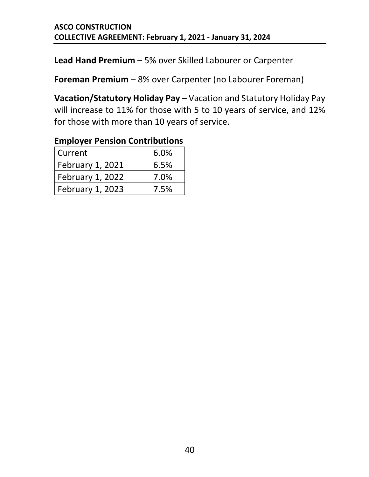**Lead Hand Premium** – 5% over Skilled Labourer or Carpenter

**Foreman Premium** – 8% over Carpenter (no Labourer Foreman)

**Vacation/Statutory Holiday Pay** – Vacation and Statutory Holiday Pay will increase to 11% for those with 5 to 10 years of service, and 12% for those with more than 10 years of service.

| LITING TO THE CHUIGHT CONTRIBUTIONS |      |
|-------------------------------------|------|
| Current                             | 6.0% |
| February 1, 2021                    | 6.5% |
| <b>February 1, 2022</b>             | 7.0% |
| <b>February 1, 2023</b>             | 7.5% |

#### **Employer Pension Contributions**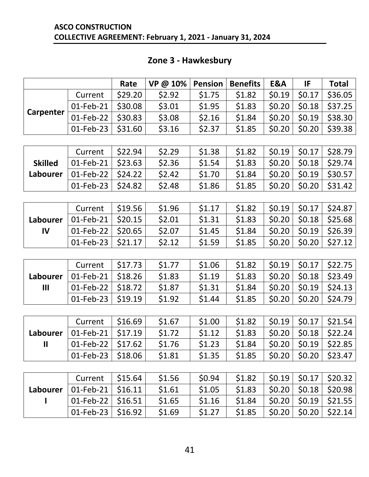|                                 |           | Rate    | VP @ 10% | <b>Pension</b> | <b>Benefits</b> | E&A    | IF     | <b>Total</b> |
|---------------------------------|-----------|---------|----------|----------------|-----------------|--------|--------|--------------|
|                                 | Current   | \$29.20 | \$2.92   | \$1.75         | \$1.82          | \$0.19 | \$0.17 | \$36.05      |
|                                 | 01-Feb-21 | \$30.08 | \$3.01   | \$1.95         | \$1.83          | \$0.20 | \$0.18 | \$37.25      |
| <b>Carpenter</b>                | 01-Feb-22 | \$30.83 | \$3.08   | \$2.16         | \$1.84          | \$0.20 | \$0.19 | \$38.30      |
|                                 | 01-Feb-23 | \$31.60 | \$3.16   | \$2.37         | \$1.85          | \$0.20 | \$0.20 | \$39.38      |
|                                 |           |         |          |                |                 |        |        |              |
|                                 | Current   | \$22.94 | \$2.29   | \$1.38         | \$1.82          | \$0.19 | \$0.17 | \$28.79      |
| <b>Skilled</b>                  | 01-Feb-21 | \$23.63 | \$2.36   | \$1.54         | \$1.83          | \$0.20 | \$0.18 | \$29.74      |
| Labourer                        | 01-Feb-22 | \$24.22 | \$2.42   | \$1.70         | \$1.84          | \$0.20 | \$0.19 | \$30.57      |
|                                 | 01-Feb-23 | \$24.82 | \$2.48   | \$1.86         | \$1.85          | \$0.20 | \$0.20 | \$31.42      |
|                                 |           |         |          |                |                 |        |        |              |
|                                 | Current   | \$19.56 | \$1.96   | \$1.17         | \$1.82          | \$0.19 | \$0.17 | \$24.87      |
| Labourer                        | 01-Feb-21 | \$20.15 | \$2.01   | \$1.31         | \$1.83          | \$0.20 | \$0.18 | \$25.68      |
| IV                              | 01-Feb-22 | \$20.65 | \$2.07   | \$1.45         | \$1.84          | \$0.20 | \$0.19 | \$26.39      |
|                                 | 01-Feb-23 | \$21.17 | \$2.12   | \$1.59         | \$1.85          | \$0.20 | \$0.20 | \$27.12      |
|                                 |           |         |          |                |                 |        |        |              |
|                                 | Current   | \$17.73 | \$1.77   | \$1.06         | \$1.82          | \$0.19 | \$0.17 | \$22.75      |
| Labourer                        | 01-Feb-21 | \$18.26 | \$1.83   | \$1.19         | \$1.83          | \$0.20 | \$0.18 | \$23.49      |
| $\mathbf{III}$                  | 01-Feb-22 | \$18.72 | \$1.87   | \$1.31         | \$1.84          | \$0.20 | \$0.19 | \$24.13      |
|                                 | 01-Feb-23 | \$19.19 | \$1.92   | \$1.44         | \$1.85          | \$0.20 | \$0.20 | \$24.79      |
|                                 |           |         |          |                |                 |        |        |              |
|                                 | Current   | \$16.69 | \$1.67   | \$1.00         | \$1.82          | \$0.19 | \$0.17 | \$21.54      |
| Labourer                        | 01-Feb-21 | \$17.19 | \$1.72   | \$1.12         | \$1.83          | \$0.20 | \$0.18 | \$22.24      |
| $\mathbf{\mathbf{\mathsf{II}}}$ | 01-Feb-22 | \$17.62 | \$1.76   | \$1.23         | \$1.84          | \$0.20 | \$0.19 | \$22.85      |
|                                 | 01-Feb-23 | \$18.06 | \$1.81   | \$1.35         | \$1.85          | \$0.20 | \$0.20 | \$23.47      |
|                                 |           |         |          |                |                 |        |        |              |
|                                 | Current   | \$15.64 | \$1.56   | \$0.94         | \$1.82          | \$0.19 | \$0.17 | \$20.32      |
| Labourer                        | 01-Feb-21 | \$16.11 | \$1.61   | \$1.05         | \$1.83          | \$0.20 | \$0.18 | \$20.98      |
|                                 | 01-Feb-22 | \$16.51 | \$1.65   | \$1.16         | \$1.84          | \$0.20 | \$0.19 | \$21.55      |
|                                 | 01-Feb-23 | \$16.92 | \$1.69   | \$1.27         | \$1.85          | \$0.20 | \$0.20 | \$22.14      |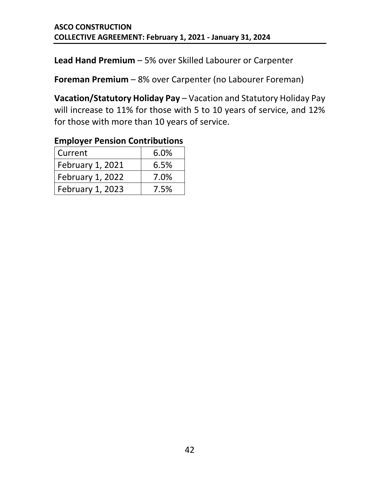**Lead Hand Premium** – 5% over Skilled Labourer or Carpenter

**Foreman Premium** – 8% over Carpenter (no Labourer Foreman)

**Vacation/Statutory Holiday Pay** – Vacation and Statutory Holiday Pay will increase to 11% for those with 5 to 10 years of service, and 12% for those with more than 10 years of service.

#### Current 6.0% February 1, 2021  $\vert$  6.5% February 1, 2022 | 7.0% February 1, 2023 7.5%

#### **Employer Pension Contributions**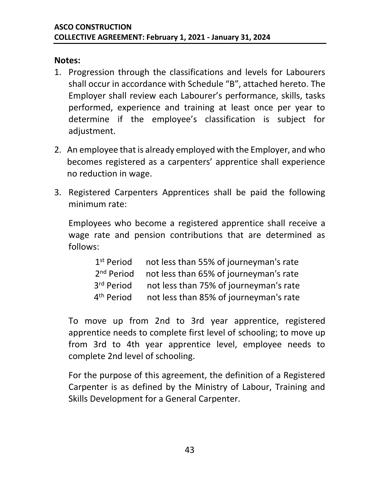#### **Notes:**

- 1. Progression through the classifications and levels for Labourers shall occur in accordance with Schedule "B", attached hereto. The Employer shall review each Labourer's performance, skills, tasks performed, experience and training at least once per year to determine if the employee's classification is subject for adjustment.
- 2. An employee that is already employed with the Employer, and who becomes registered as a carpenters' apprentice shall experience no reduction in wage.
- 3. Registered Carpenters Apprentices shall be paid the following minimum rate:

Employees who become a registered apprentice shall receive a wage rate and pension contributions that are determined as follows:

| 1 <sup>st</sup> Period | not less than 55% of journeyman's rate |
|------------------------|----------------------------------------|
| 2 <sup>nd</sup> Period | not less than 65% of journeyman's rate |
| 3rd Period             | not less than 75% of journeyman's rate |
| 4 <sup>th</sup> Period | not less than 85% of journeyman's rate |

To move up from 2nd to 3rd year apprentice, registered apprentice needs to complete first level of schooling; to move up from 3rd to 4th year apprentice level, employee needs to complete 2nd level of schooling.

For the purpose of this agreement, the definition of a Registered Carpenter is as defined by the Ministry of Labour, Training and Skills Development for a General Carpenter.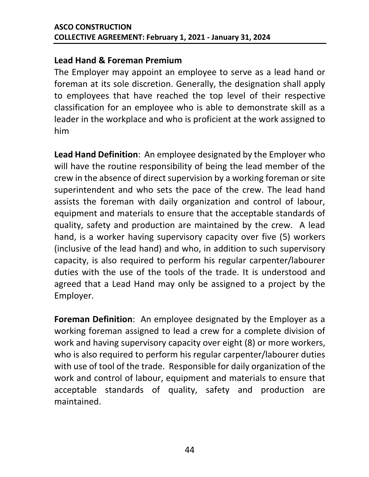#### **Lead Hand & Foreman Premium**

The Employer may appoint an employee to serve as a lead hand or foreman at its sole discretion. Generally, the designation shall apply to employees that have reached the top level of their respective classification for an employee who is able to demonstrate skill as a leader in the workplace and who is proficient at the work assigned to him

**Lead Hand Definition**: An employee designated by the Employer who will have the routine responsibility of being the lead member of the crew in the absence of direct supervision by a working foreman or site superintendent and who sets the pace of the crew. The lead hand assists the foreman with daily organization and control of labour, equipment and materials to ensure that the acceptable standards of quality, safety and production are maintained by the crew. A lead hand, is a worker having supervisory capacity over five (5) workers (inclusive of the lead hand) and who, in addition to such supervisory capacity, is also required to perform his regular carpenter/labourer duties with the use of the tools of the trade. It is understood and agreed that a Lead Hand may only be assigned to a project by the Employer.

**Foreman Definition**: An employee designated by the Employer as a working foreman assigned to lead a crew for a complete division of work and having supervisory capacity over eight (8) or more workers, who is also required to perform his regular carpenter/labourer duties with use of tool of the trade. Responsible for daily organization of the work and control of labour, equipment and materials to ensure that acceptable standards of quality, safety and production are maintained.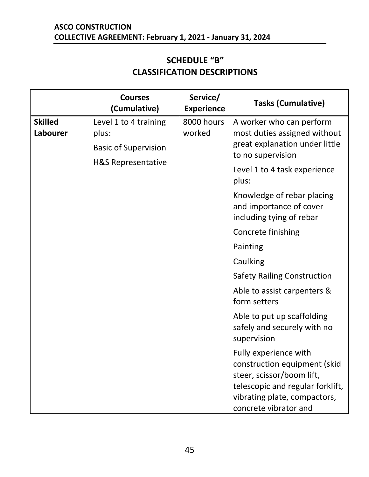#### **SCHEDULE "B" CLASSIFICATION DESCRIPTIONS**

<span id="page-47-1"></span><span id="page-47-0"></span>

|                            | <b>Courses</b><br>(Cumulative)                                | Service/<br><b>Experience</b> | <b>Tasks (Cumulative)</b>                                                                                                                                                       |
|----------------------------|---------------------------------------------------------------|-------------------------------|---------------------------------------------------------------------------------------------------------------------------------------------------------------------------------|
| <b>Skilled</b><br>Labourer | Level 1 to 4 training<br>plus:<br><b>Basic of Supervision</b> | 8000 hours<br>worked          | A worker who can perform<br>most duties assigned without<br>great explanation under little<br>to no supervision                                                                 |
|                            | H&S Representative                                            |                               | Level 1 to 4 task experience<br>plus:                                                                                                                                           |
|                            |                                                               |                               | Knowledge of rebar placing<br>and importance of cover<br>including tying of rebar                                                                                               |
|                            |                                                               |                               | Concrete finishing                                                                                                                                                              |
|                            |                                                               |                               | Painting                                                                                                                                                                        |
|                            |                                                               |                               | Caulking                                                                                                                                                                        |
|                            |                                                               |                               | <b>Safety Railing Construction</b>                                                                                                                                              |
|                            |                                                               |                               | Able to assist carpenters &<br>form setters                                                                                                                                     |
|                            |                                                               |                               | Able to put up scaffolding<br>safely and securely with no<br>supervision                                                                                                        |
|                            |                                                               |                               | Fully experience with<br>construction equipment (skid<br>steer, scissor/boom lift,<br>telescopic and regular forklift,<br>vibrating plate, compactors,<br>concrete vibrator and |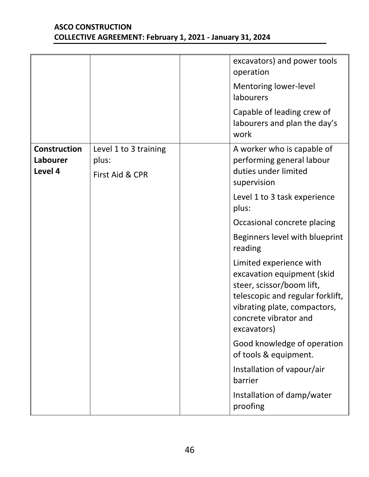|                                            |                                                   | excavators) and power tools<br>operation                                                                                                                                                       |
|--------------------------------------------|---------------------------------------------------|------------------------------------------------------------------------------------------------------------------------------------------------------------------------------------------------|
|                                            |                                                   | Mentoring lower-level<br>labourers                                                                                                                                                             |
|                                            |                                                   | Capable of leading crew of<br>labourers and plan the day's<br>work                                                                                                                             |
| <b>Construction</b><br>Labourer<br>Level 4 | Level 1 to 3 training<br>plus:<br>First Aid & CPR | A worker who is capable of<br>performing general labour<br>duties under limited<br>supervision                                                                                                 |
|                                            |                                                   | Level 1 to 3 task experience<br>plus:                                                                                                                                                          |
|                                            |                                                   | Occasional concrete placing                                                                                                                                                                    |
|                                            |                                                   | Beginners level with blueprint<br>reading                                                                                                                                                      |
|                                            |                                                   | Limited experience with<br>excavation equipment (skid<br>steer, scissor/boom lift,<br>telescopic and regular forklift,<br>vibrating plate, compactors,<br>concrete vibrator and<br>excavators) |
|                                            |                                                   | Good knowledge of operation<br>of tools & equipment.                                                                                                                                           |
|                                            |                                                   | Installation of vapour/air<br>barrier                                                                                                                                                          |
|                                            |                                                   | Installation of damp/water<br>proofing                                                                                                                                                         |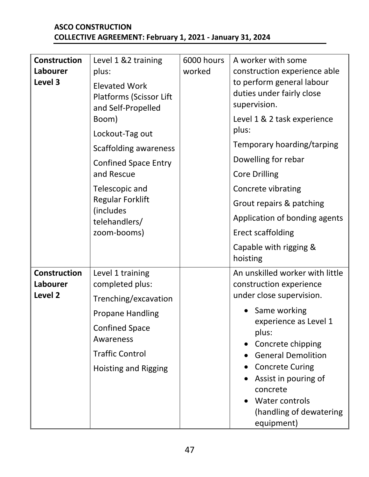| <b>Construction</b><br>Labourer<br>Level 3            | Level 1 &2 training<br>plus:<br><b>Elevated Work</b><br><b>Platforms (Scissor Lift</b><br>and Self-Propelled<br>Boom)<br>Lockout-Tag out<br>Scaffolding awareness<br><b>Confined Space Entry</b><br>and Rescue<br>Telescopic and<br><b>Regular Forklift</b><br>(includes<br>telehandlers/<br>zoom-booms) | 6000 hours<br>worked | A worker with some<br>construction experience able<br>to perform general labour<br>duties under fairly close<br>supervision.<br>Level 1 & 2 task experience<br>plus:<br>Temporary hoarding/tarping<br>Dowelling for rebar<br><b>Core Drilling</b><br>Concrete vibrating<br>Grout repairs & patching<br>Application of bonding agents<br><b>Erect scaffolding</b><br>Capable with rigging &<br>hoisting |
|-------------------------------------------------------|----------------------------------------------------------------------------------------------------------------------------------------------------------------------------------------------------------------------------------------------------------------------------------------------------------|----------------------|--------------------------------------------------------------------------------------------------------------------------------------------------------------------------------------------------------------------------------------------------------------------------------------------------------------------------------------------------------------------------------------------------------|
| <b>Construction</b><br>Labourer<br>Level <sub>2</sub> | Level 1 training<br>completed plus:<br>Trenching/excavation<br><b>Propane Handling</b><br><b>Confined Space</b><br>Awareness<br><b>Traffic Control</b><br><b>Hoisting and Rigging</b>                                                                                                                    |                      | An unskilled worker with little<br>construction experience<br>under close supervision.<br>Same working<br>experience as Level 1<br>plus:<br>Concrete chipping<br><b>General Demolition</b><br><b>Concrete Curing</b><br>Assist in pouring of<br>concrete<br>Water controls<br>(handling of dewatering<br>equipment)                                                                                    |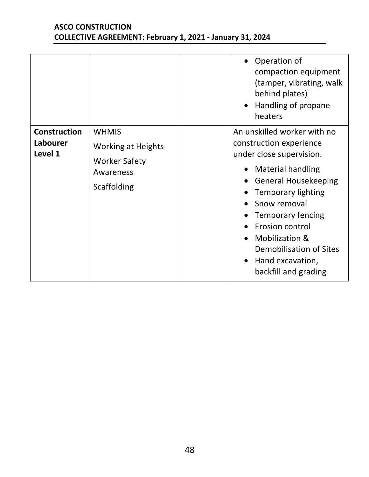|                                            |                                                                                               | Operation of<br>compaction equipment<br>(tamper, vibrating, walk<br>behind plates)<br>Handling of propane<br>heaters                                                                                                                                                                                                                                       |
|--------------------------------------------|-----------------------------------------------------------------------------------------------|------------------------------------------------------------------------------------------------------------------------------------------------------------------------------------------------------------------------------------------------------------------------------------------------------------------------------------------------------------|
| <b>Construction</b><br>Labourer<br>Level 1 | <b>WHMIS</b><br><b>Working at Heights</b><br><b>Worker Safety</b><br>Awareness<br>Scaffolding | An unskilled worker with no<br>construction experience<br>under close supervision.<br><b>Material handling</b><br><b>General Housekeeping</b><br><b>Temporary lighting</b><br>Snow removal<br><b>Temporary fencing</b><br>Erosion control<br><b>Mobilization &amp;</b><br>Demobilisation of Sites<br>Hand excavation,<br>$\bullet$<br>backfill and grading |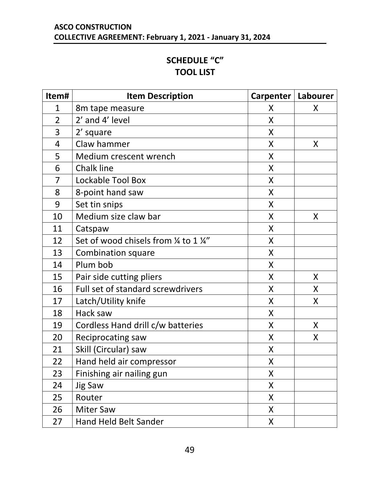#### **SCHEDULE "C" TOOL LIST**

<span id="page-51-1"></span><span id="page-51-0"></span>

| Item#          | <b>Item Description</b>                | Carpenter | Labourer |
|----------------|----------------------------------------|-----------|----------|
| $\mathbf{1}$   | 8m tape measure                        | X         | X        |
| $\overline{2}$ | 2' and 4' level                        | X         |          |
| 3              | 2' square                              | X         |          |
| $\overline{4}$ | Claw hammer                            | X         | X        |
| 5              | Medium crescent wrench                 | X         |          |
| 6              | <b>Chalk line</b>                      | X         |          |
| 7              | Lockable Tool Box                      | X         |          |
| 8              | 8-point hand saw                       | X         |          |
| 9              | Set tin snips                          | X         |          |
| 10             | Medium size claw bar                   | X         | X        |
| 11             | Catspaw                                | X         |          |
| 12             | Set of wood chisels from 1/4 to 1 1/4" | X         |          |
| 13             | <b>Combination square</b>              | X         |          |
| 14             | Plum bob                               | X         |          |
| 15             | Pair side cutting pliers               | X         | X        |
| 16             | Full set of standard screwdrivers      | Χ         | X        |
| 17             | Latch/Utility knife                    | X         | X        |
| 18             | Hack saw                               | X         |          |
| 19             | Cordless Hand drill c/w batteries      | X         | X        |
| 20             | <b>Reciprocating saw</b>               | X         | X        |
| 21             | Skill (Circular) saw                   | X         |          |
| 22             | Hand held air compressor               | X         |          |
| 23             | Finishing air nailing gun              | X         |          |
| 24             | <b>Jig Saw</b>                         | X         |          |
| 25             | Router                                 | X         |          |
| 26             | <b>Miter Saw</b>                       | X         |          |
| 27             | Hand Held Belt Sander                  | X         |          |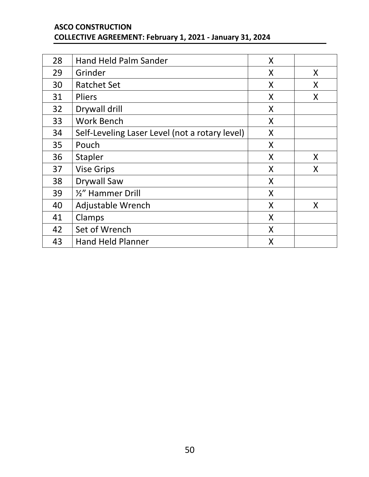| 28 | <b>Hand Held Palm Sander</b>                   | X |   |
|----|------------------------------------------------|---|---|
| 29 | Grinder                                        | X | X |
| 30 | <b>Ratchet Set</b>                             | X | X |
| 31 | <b>Pliers</b>                                  | X | X |
| 32 | Drywall drill                                  | X |   |
| 33 | <b>Work Bench</b>                              | X |   |
| 34 | Self-Leveling Laser Level (not a rotary level) | X |   |
| 35 | Pouch                                          | X |   |
| 36 | Stapler                                        | X | X |
| 37 | <b>Vise Grips</b>                              | X | X |
| 38 | <b>Drywall Saw</b>                             | X |   |
| 39 | 1/2" Hammer Drill                              | X |   |
| 40 | Adjustable Wrench                              | X | X |
| 41 | Clamps                                         | X |   |
| 42 | Set of Wrench                                  | X |   |
| 43 | <b>Hand Held Planner</b>                       | X |   |